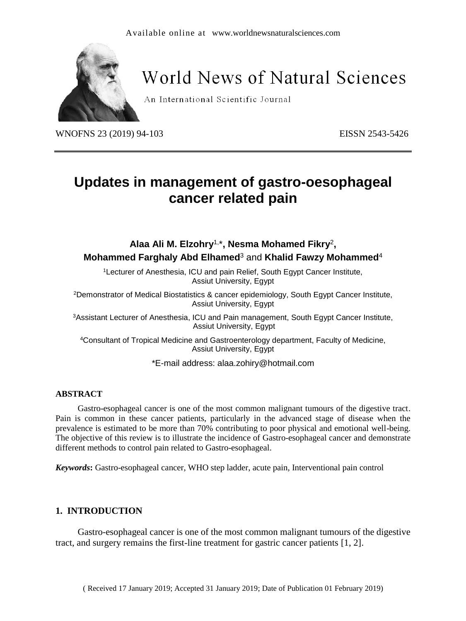

# **World News of Natural Sciences**

An International Scientific Journal

WNOFNS 23 (2019) 94-103 EISSN 2543-5426

# **Updates in management of gastro-oesophageal cancer related pain**

**Alaa Ali M. Elzohry**1, \***, Nesma Mohamed Fikry**<sup>2</sup> **, Mohammed Farghaly Abd Elhamed**<sup>3</sup> and **Khalid Fawzy Mohammed**<sup>4</sup> <sup>1</sup>Lecturer of Anesthesia, ICU and pain Relief, South Egypt Cancer Institute, Assiut University, Egypt <sup>2</sup>Demonstrator of Medical Biostatistics & cancer epidemiology, South Egypt Cancer Institute, Assiut University, Egypt <sup>3</sup>Assistant Lecturer of Anesthesia, ICU and Pain management, South Egypt Cancer Institute, Assiut University, Egypt <sup>4</sup>Consultant of Tropical Medicine and Gastroenterology department, Faculty of Medicine,

> Assiut University, Egypt \*E-mail address: alaa.zohiry@hotmail.com

#### **ABSTRACT**

Gastro-esophageal cancer is one of the most common malignant tumours of the digestive tract. Pain is common in these cancer patients, particularly in the advanced stage of disease when the prevalence is estimated to be more than 70% contributing to poor physical and emotional well-being. The objective of this review is to illustrate the incidence of Gastro-esophageal cancer and demonstrate different methods to control pain related to Gastro-esophageal.

*Keywords***:** Gastro-esophageal cancer, WHO step ladder, acute pain, Interventional pain control

#### **1. INTRODUCTION**

Gastro-esophageal cancer is one of the most common malignant tumours of the digestive tract, and surgery remains the first-line treatment for gastric cancer patients [1, 2].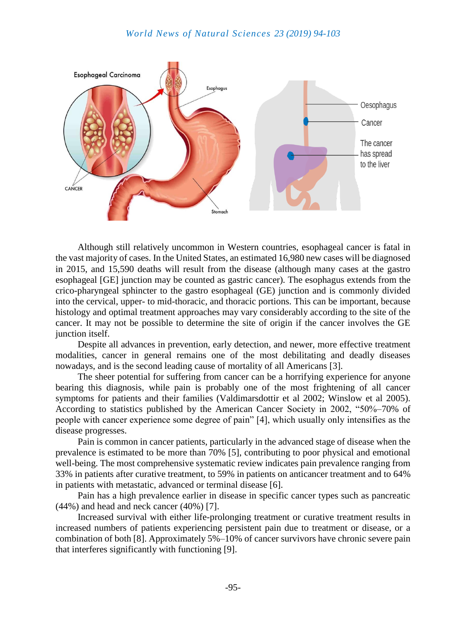

Although still relatively uncommon in Western countries, esophageal cancer is fatal in the vast majority of cases. In the United States, an estimated 16,980 new cases will be diagnosed in 2015, and 15,590 deaths will result from the disease (although many cases at the gastro esophageal [GE] junction may be counted as gastric cancer). The esophagus extends from the crico-pharyngeal sphincter to the gastro esophageal (GE) junction and is commonly divided into the cervical, upper- to mid-thoracic, and thoracic portions. This can be important, because histology and optimal treatment approaches may vary considerably according to the site of the cancer. It may not be possible to determine the site of origin if the cancer involves the GE junction itself.

Despite all advances in prevention, early detection, and newer, more effective treatment modalities, cancer in general remains one of the most debilitating and deadly diseases nowadays, and is the second leading cause of mortality of all Americans [3].

The sheer potential for suffering from cancer can be a horrifying experience for anyone bearing this diagnosis, while pain is probably one of the most frightening of all cancer symptoms for patients and their families (Valdimarsdottir et al 2002; Winslow et al 2005). According to statistics published by the American Cancer Society in 2002, "50%–70% of people with cancer experience some degree of pain" [4], which usually only intensifies as the disease progresses.

Pain is common in cancer patients, particularly in the advanced stage of disease when the prevalence is estimated to be more than 70% [5], contributing to poor physical and emotional well-being. The most comprehensive systematic review indicates pain prevalence ranging from 33% in patients after curative treatment, to 59% in patients on anticancer treatment and to 64% in patients with metastatic, advanced or terminal disease [6].

Pain has a high prevalence earlier in disease in specific cancer types such as pancreatic  $(44\%)$  and head and neck cancer  $(40\%)$  [7].

Increased survival with either life-prolonging treatment or curative treatment results in increased numbers of patients experiencing persistent pain due to treatment or disease, or a combination of both [8]. Approximately 5%–10% of cancer survivors have chronic severe pain that interferes significantly with functioning [9].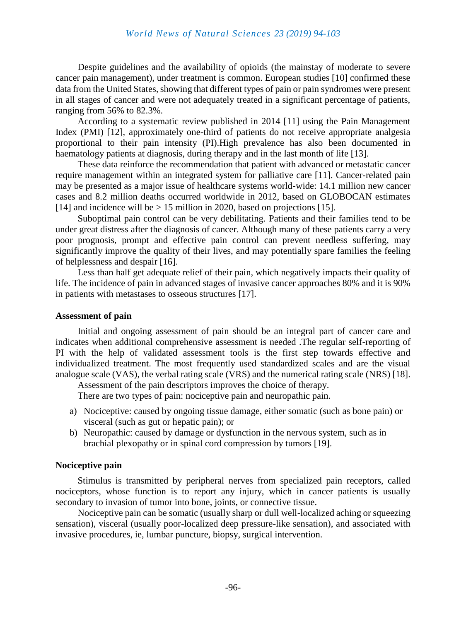Despite guidelines and the availability of opioids (the mainstay of moderate to severe cancer pain management), under treatment is common. European studies [10] confirmed these data from the United States, showing that different types of pain or pain syndromes were present in all stages of cancer and were not adequately treated in a significant percentage of patients, ranging from 56% to 82.3%.

According to a systematic review published in 2014 [11] using the Pain Management Index (PMI) [12], approximately one-third of patients do not receive appropriate analgesia proportional to their pain intensity (PI).High prevalence has also been documented in haematology patients at diagnosis, during therapy and in the last month of life [13].

These data reinforce the recommendation that patient with advanced or metastatic cancer require management within an integrated system for palliative care [11]. Cancer-related pain may be presented as a major issue of healthcare systems world-wide: 14.1 million new cancer cases and 8.2 million deaths occurred worldwide in 2012, based on GLOBOCAN estimates [14] and incidence will be  $> 15$  million in 2020, based on projections [15].

Suboptimal pain control can be very debilitating. Patients and their families tend to be under great distress after the diagnosis of cancer. Although many of these patients carry a very poor prognosis, prompt and effective pain control can prevent needless suffering, may significantly improve the quality of their lives, and may potentially spare families the feeling of helplessness and despair [16].

Less than half get adequate relief of their pain, which negatively impacts their quality of life. The incidence of pain in advanced stages of invasive cancer approaches 80% and it is 90% in patients with metastases to osseous structures [17].

#### **Assessment of pain**

Initial and ongoing assessment of pain should be an integral part of cancer care and indicates when additional comprehensive assessment is needed .The regular self-reporting of PI with the help of validated assessment tools is the first step towards effective and individualized treatment. The most frequently used standardized scales and are the visual analogue scale (VAS), the verbal rating scale (VRS) and the numerical rating scale (NRS) [18].

Assessment of the pain descriptors improves the choice of therapy. There are two types of pain: nociceptive pain and neuropathic pain.

- a) Nociceptive: caused by ongoing tissue damage, either somatic (such as bone pain) or visceral (such as gut or hepatic pain); or
- b) Neuropathic: caused by damage or dysfunction in the nervous system, such as in brachial plexopathy or in spinal cord compression by tumors [19].

#### **Nociceptive pain**

Stimulus is transmitted by peripheral nerves from specialized pain receptors, called nociceptors, whose function is to report any injury, which in cancer patients is usually secondary to invasion of tumor into bone, joints, or connective tissue.

Nociceptive pain can be somatic (usually sharp or dull well-localized aching or squeezing sensation), visceral (usually poor-localized deep pressure-like sensation), and associated with invasive procedures, ie, lumbar puncture, biopsy, surgical intervention.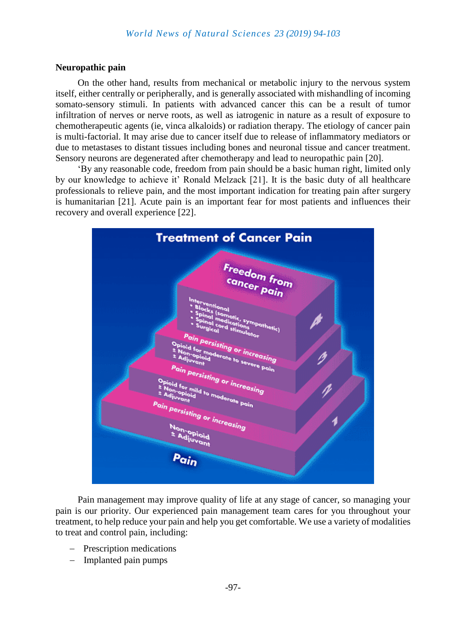#### **Neuropathic pain**

On the other hand, results from mechanical or metabolic injury to the nervous system itself, either centrally or peripherally, and is generally associated with mishandling of incoming somato-sensory stimuli. In patients with advanced cancer this can be a result of tumor infiltration of nerves or nerve roots, as well as iatrogenic in nature as a result of exposure to chemotherapeutic agents (ie, vinca alkaloids) or radiation therapy. The etiology of cancer pain is multi-factorial. It may arise due to cancer itself due to release of inflammatory mediators or due to metastases to distant tissues including bones and neuronal tissue and cancer treatment. Sensory neurons are degenerated after chemotherapy and lead to neuropathic pain [20].

'By any reasonable code, freedom from pain should be a basic human right, limited only by our knowledge to achieve it' Ronald Melzack [21]. It is the basic duty of all healthcare professionals to relieve pain, and the most important indication for treating pain after surgery is humanitarian [21]. Acute pain is an important fear for most patients and influences their recovery and overall experience [22].



Pain management may improve quality of life at any stage of cancer, so managing your pain is our priority. Our experienced pain management team cares for you throughout your treatment, to help reduce your pain and help you get comfortable. We use a variety of modalities to treat and control pain, including:

- Prescription medications
- Implanted pain pumps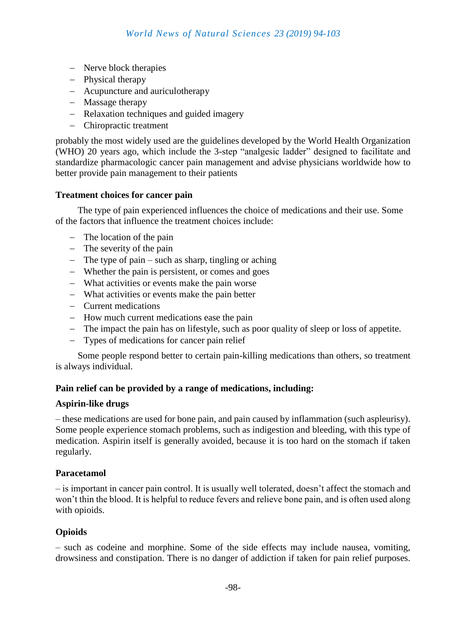- Nerve block therapies
- Physical therapy
- Acupuncture and auriculotherapy
- Massage therapy
- Relaxation techniques and guided imagery
- Chiropractic treatment

probably the most widely used are the guidelines developed by the World Health Organization (WHO) 20 years ago, which include the 3-step "analgesic ladder" designed to facilitate and standardize pharmacologic cancer pain management and advise physicians worldwide how to better provide pain management to their patients

#### **Treatment choices for cancer pain**

The type of pain experienced influences the choice of medications and their use. Some of the factors that influence the treatment choices include:

- The location of the pain
- $-$  The severity of the pain
- $\overline{ }$  The type of pain such as sharp, tingling or aching
- Whether the pain is persistent, or comes and goes
- What activities or events make the pain worse
- What activities or events make the pain better
- Current medications
- How much current medications ease the pain
- The impact the pain has on lifestyle, such as poor quality of sleep or loss of appetite.
- Types of medications for cancer pain relief

Some people respond better to certain pain-killing medications than others, so treatment is always individual.

#### **Pain relief can be provided by a range of medications, including:**

#### **Aspirin-like drugs**

– these medications are used for bone pain, and pain caused by inflammation (such aspleurisy). Some people experience stomach problems, such as indigestion and bleeding, with this type of medication. Aspirin itself is generally avoided, because it is too hard on the stomach if taken regularly.

#### **Paracetamol**

– is important in cancer pain control. It is usually well tolerated, doesn't affect the stomach and won't thin the blood. It is helpful to reduce fevers and relieve bone pain, and is often used along with opioids.

# **Opioids**

– such as codeine and morphine. Some of the side effects may include nausea, vomiting, drowsiness and constipation. There is no danger of addiction if taken for pain relief purposes.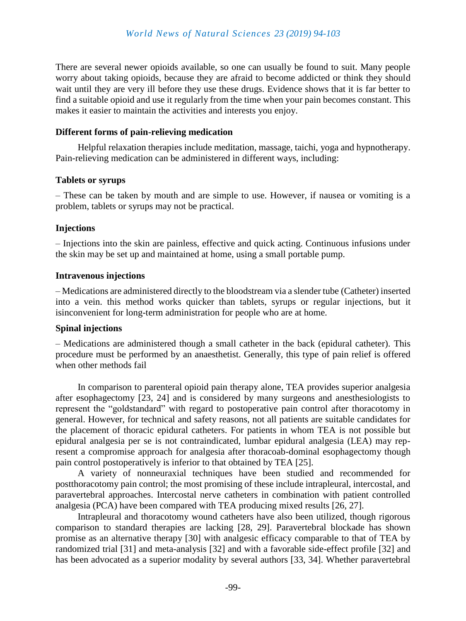There are several newer opioids available, so one can usually be found to suit. Many people worry about taking opioids, because they are afraid to become addicted or think they should wait until they are very ill before they use these drugs. Evidence shows that it is far better to find a suitable opioid and use it regularly from the time when your pain becomes constant. This makes it easier to maintain the activities and interests you enjoy.

#### **Different forms of pain-relieving medication**

Helpful relaxation therapies include meditation, massage, taichi, yoga and hypnotherapy. Pain-relieving medication can be administered in different ways, including:

#### **Tablets or syrups**

– These can be taken by mouth and are simple to use. However, if nausea or vomiting is a problem, tablets or syrups may not be practical.

# **Injections**

– Injections into the skin are painless, effective and quick acting. Continuous infusions under the skin may be set up and maintained at home, using a small portable pump.

### **Intravenous injections**

– Medications are administered directly to the bloodstream via a slender tube (Catheter) inserted into a vein. this method works quicker than tablets, syrups or regular injections, but it isinconvenient for long-term administration for people who are at home.

# **Spinal injections**

– Medications are administered though a small catheter in the back (epidural catheter). This procedure must be performed by an anaesthetist. Generally, this type of pain relief is offered when other methods fail

In comparison to parenteral opioid pain therapy alone, TEA provides superior analgesia after esophagectomy [23, 24] and is considered by many surgeons and anesthesiologists to represent the "goldstandard" with regard to postoperative pain control after thoracotomy in general. However, for technical and safety reasons, not all patients are suitable candidates for the placement of thoracic epidural catheters. For patients in whom TEA is not possible but epidural analgesia per se is not contraindicated, lumbar epidural analgesia (LEA) may represent a compromise approach for analgesia after thoracoab-dominal esophagectomy though pain control postoperatively is inferior to that obtained by TEA [25].

A variety of nonneuraxial techniques have been studied and recommended for postthoracotomy pain control; the most promising of these include intrapleural, intercostal, and paravertebral approaches. Intercostal nerve catheters in combination with patient controlled analgesia (PCA) have been compared with TEA producing mixed results [26, 27].

Intrapleural and thoracotomy wound catheters have also been utilized, though rigorous comparison to standard therapies are lacking [28, 29]. Paravertebral blockade has shown promise as an alternative therapy [30] with analgesic efficacy comparable to that of TEA by randomized trial [31] and meta-analysis [32] and with a favorable side-effect profile [32] and has been advocated as a superior modality by several authors [33, 34]. Whether paravertebral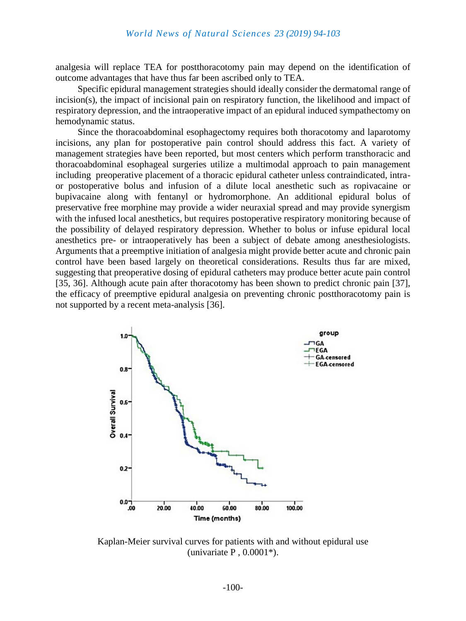analgesia will replace TEA for postthoracotomy pain may depend on the identification of outcome advantages that have thus far been ascribed only to TEA.

Specific epidural management strategies should ideally consider the dermatomal range of incision(s), the impact of incisional pain on respiratory function, the likelihood and impact of respiratory depression, and the intraoperative impact of an epidural induced sympathectomy on hemodynamic status.

Since the thoracoabdominal esophagectomy requires both thoracotomy and laparotomy incisions, any plan for postoperative pain control should address this fact. A variety of management strategies have been reported, but most centers which perform transthoracic and thoracoabdominal esophageal surgeries utilize a multimodal approach to pain management including preoperative placement of a thoracic epidural catheter unless contraindicated, intraor postoperative bolus and infusion of a dilute local anesthetic such as ropivacaine or bupivacaine along with fentanyl or hydromorphone. An additional epidural bolus of preservative free morphine may provide a wider neuraxial spread and may provide synergism with the infused local anesthetics, but requires postoperative respiratory monitoring because of the possibility of delayed respiratory depression. Whether to bolus or infuse epidural local anesthetics pre- or intraoperatively has been a subject of debate among anesthesiologists. Arguments that a preemptive initiation of analgesia might provide better acute and chronic pain control have been based largely on theoretical considerations. Results thus far are mixed, suggesting that preoperative dosing of epidural catheters may produce better acute pain control [35, 36]. Although acute pain after thoracotomy has been shown to predict chronic pain [37], the efficacy of preemptive epidural analgesia on preventing chronic postthoracotomy pain is not supported by a recent meta-analysis [36].



Kaplan-Meier survival curves for patients with and without epidural use (univariate  $P$ , 0.0001\*).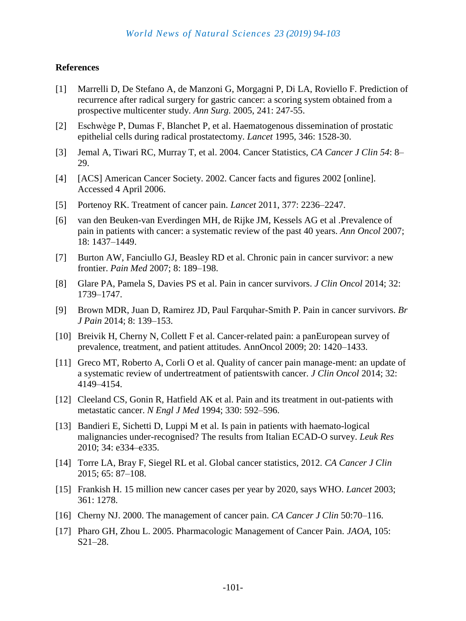#### **References**

- [1] Marrelli D, De Stefano A, de Manzoni G, Morgagni P, Di LA, Roviello F. Prediction of recurrence after radical surgery for gastric cancer: a scoring system obtained from a prospective multicenter study. *Ann Surg.* 2005, 241: 247-55.
- [2] Eschwège P, Dumas F, Blanchet P, et al. Haematogenous dissemination of prostatic epithelial cells during radical prostatectomy. *Lancet* 1995, 346: 1528-30.
- [3] Jemal A, Tiwari RC, Murray T, et al. 2004. Cancer Statistics, *CA Cancer J Clin 54*: 8– 29.
- [4] [ACS] American Cancer Society. 2002. Cancer facts and figures 2002 [online]. Accessed 4 April 2006.
- [5] Portenoy RK. Treatment of cancer pain. *Lancet* 2011, 377: 2236–2247.
- [6] van den Beuken-van Everdingen MH, de Rijke JM, Kessels AG et al .Prevalence of pain in patients with cancer: a systematic review of the past 40 years. *Ann Oncol* 2007; 18: 1437–1449.
- [7] Burton AW, Fanciullo GJ, Beasley RD et al. Chronic pain in cancer survivor: a new frontier. *Pain Med* 2007; 8: 189–198.
- [8] Glare PA, Pamela S, Davies PS et al. Pain in cancer survivors. *J Clin Oncol* 2014; 32: 1739–1747.
- [9] Brown MDR, Juan D, Ramirez JD, Paul Farquhar-Smith P. Pain in cancer survivors. *Br J Pain* 2014; 8: 139–153.
- [10] Breivik H, Cherny N, Collett F et al. Cancer-related pain: a panEuropean survey of prevalence, treatment, and patient attitudes. AnnOncol 2009; 20: 1420–1433.
- [11] Greco MT, Roberto A, Corli O et al. Quality of cancer pain manage-ment: an update of a systematic review of undertreatment of patientswith cancer. *J Clin Oncol* 2014; 32: 4149–4154.
- [12] Cleeland CS, Gonin R, Hatfield AK et al. Pain and its treatment in out-patients with metastatic cancer. *N Engl J Med* 1994; 330: 592–596.
- [13] Bandieri E, Sichetti D, Luppi M et al. Is pain in patients with haemato-logical malignancies under-recognised? The results from Italian ECAD-O survey. *Leuk Res* 2010; 34: e334–e335.
- [14] Torre LA, Bray F, Siegel RL et al. Global cancer statistics, 2012. *CA Cancer J Clin* 2015; 65: 87–108.
- [15] Frankish H. 15 million new cancer cases per year by 2020, says WHO. *Lancet* 2003; 361: 1278.
- [16] Cherny NJ. 2000. The management of cancer pain. *CA Cancer J Clin* 50:70–116.
- [17] Pharo GH, Zhou L. 2005. Pharmacologic Management of Cancer Pain. *JAOA,* 105: S21–28.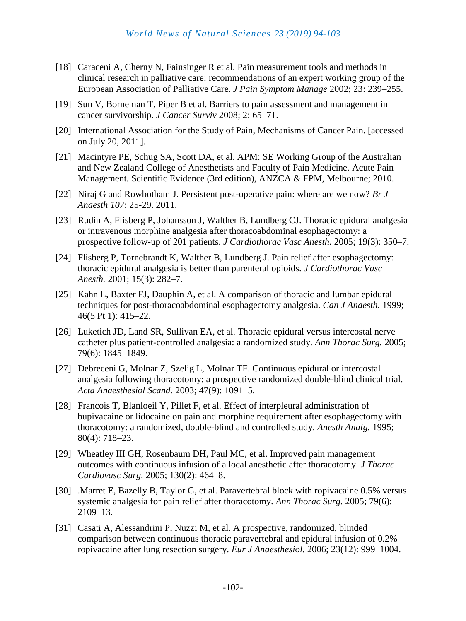- [18] Caraceni A, Cherny N, Fainsinger R et al. Pain measurement tools and methods in clinical research in palliative care: recommendations of an expert working group of the European Association of Palliative Care. *J Pain Symptom Manage* 2002; 23: 239–255.
- [19] Sun V, Borneman T, Piper B et al. Barriers to pain assessment and management in cancer survivorship. *J Cancer Surviv* 2008; 2: 65–71.
- [20] International Association for the Study of Pain, Mechanisms of Cancer Pain. [accessed on July 20, 2011].
- [21] Macintyre PE, Schug SA, Scott DA, et al. APM: SE Working Group of the Australian and New Zealand College of Anesthetists and Faculty of Pain Medicine. Acute Pain Management*.* Scientific Evidence (3rd edition), ANZCA & FPM, Melbourne; 2010.
- [22] Niraj G and Rowbotham J. Persistent post-operative pain: where are we now? *Br J Anaesth 107*: 25-29. 2011.
- [23] Rudin A, Flisberg P, Johansson J, Walther B, Lundberg CJ. Thoracic epidural analgesia or intravenous morphine analgesia after thoracoabdominal esophagectomy: a prospective follow-up of 201 patients. *J Cardiothorac Vasc Anesth.* 2005; 19(3): 350–7.
- [24] Flisberg P, Tornebrandt K, Walther B, Lundberg J. Pain relief after esophagectomy: thoracic epidural analgesia is better than parenteral opioids. *J Cardiothorac Vasc Anesth.* 2001; 15(3): 282–7.
- [25] Kahn L, Baxter FJ, Dauphin A, et al. A comparison of thoracic and lumbar epidural techniques for post-thoracoabdominal esophagectomy analgesia. *Can J Anaesth.* 1999; 46(5 Pt 1): 415–22.
- [26] Luketich JD, Land SR, Sullivan EA, et al. Thoracic epidural versus intercostal nerve catheter plus patient-controlled analgesia: a randomized study. *Ann Thorac Surg.* 2005; 79(6): 1845–1849.
- [27] Debreceni G, Molnar Z, Szelig L, Molnar TF. Continuous epidural or intercostal analgesia following thoracotomy: a prospective randomized double-blind clinical trial. *Acta Anaesthesiol Scand.* 2003; 47(9): 1091–5.
- [28] Francois T, Blanloeil Y, Pillet F, et al. Effect of interpleural administration of bupivacaine or lidocaine on pain and morphine requirement after esophagectomy with thoracotomy: a randomized, double-blind and controlled study. *Anesth Analg.* 1995; 80(4): 718–23.
- [29] Wheatley III GH, Rosenbaum DH, Paul MC, et al. Improved pain management outcomes with continuous infusion of a local anesthetic after thoracotomy. *J Thorac Cardiovasc Surg.* 2005; 130(2): 464–8.
- [30] .Marret E, Bazelly B, Taylor G, et al. Paravertebral block with ropivacaine 0.5% versus systemic analgesia for pain relief after thoracotomy. *Ann Thorac Surg.* 2005; 79(6): 2109–13.
- [31] Casati A, Alessandrini P, Nuzzi M, et al. A prospective, randomized, blinded comparison between continuous thoracic paravertebral and epidural infusion of 0.2% ropivacaine after lung resection surgery. *Eur J Anaesthesiol.* 2006; 23(12): 999–1004.